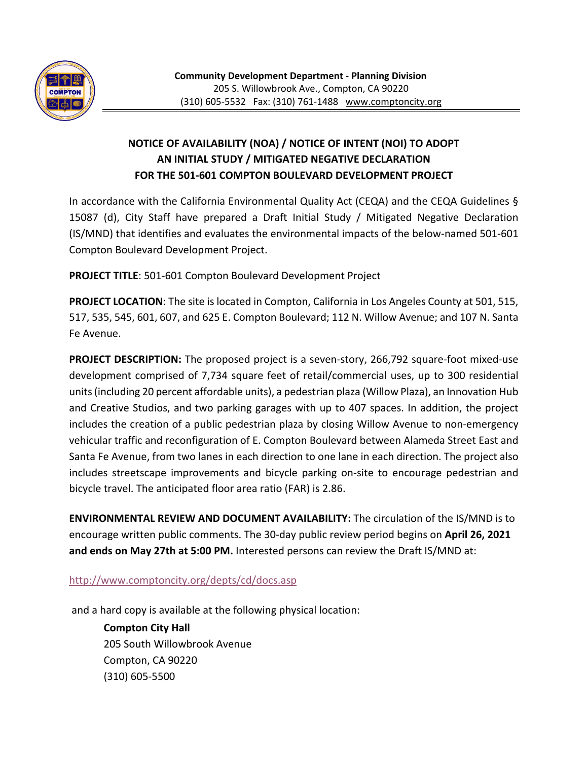

## **NOTICE OF AVAILABILITY (NOA) / NOTICE OF INTENT (NOI) TO ADOPT AN INITIAL STUDY / MITIGATED NEGATIVE DECLARATION FOR THE 501-601 COMPTON BOULEVARD DEVELOPMENT PROJECT**

In accordance with the California Environmental Quality Act (CEQA) and the CEQA Guidelines § 15087 (d), City Staff have prepared a Draft Initial Study / Mitigated Negative Declaration (IS/MND) that identifies and evaluates the environmental impacts of the below-named 501-601 Compton Boulevard Development Project.

**PROJECT TITLE**: 501-601 Compton Boulevard Development Project

**PROJECT LOCATION**: The site is located in Compton, California in Los Angeles County at 501, 515, 517, 535, 545, 601, 607, and 625 E. Compton Boulevard; 112 N. Willow Avenue; and 107 N. Santa Fe Avenue.

**PROJECT DESCRIPTION:** The proposed project is a seven-story, 266,792 square-foot mixed-use development comprised of 7,734 square feet of retail/commercial uses, up to 300 residential units (including 20 percent affordable units), a pedestrian plaza (Willow Plaza), an Innovation Hub and Creative Studios, and two parking garages with up to 407 spaces. In addition, the project includes the creation of a public pedestrian plaza by closing Willow Avenue to non-emergency vehicular traffic and reconfiguration of E. Compton Boulevard between Alameda Street East and Santa Fe Avenue, from two lanes in each direction to one lane in each direction. The project also includes streetscape improvements and bicycle parking on-site to encourage pedestrian and bicycle travel. The anticipated floor area ratio (FAR) is 2.86.

**ENVIRONMENTAL REVIEW AND DOCUMENT AVAILABILITY:** The circulation of the IS/MND is to encourage written public comments. The 30-day public review period begins on **April 26, 2021 and ends on May 27th at 5:00 PM.** Interested persons can review the Draft IS/MND at:

## <http://www.comptoncity.org/depts/cd/docs.asp>

and a hard copy is available at the following physical location:

**Compton City Hall** 205 South Willowbrook Avenue Compton, CA 90220 (310) 605-5500